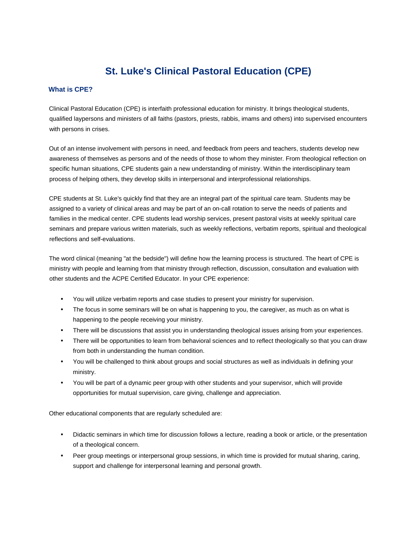# **St. Luke's Clinical Pastoral Education (CPE)**

### **What is CPE?**

Clinical Pastoral Education (CPE) is interfaith professional education for ministry. It brings theological students, qualified laypersons and ministers of all faiths (pastors, priests, rabbis, imams and others) into supervised encounters with persons in crises.

Out of an intense involvement with persons in need, and feedback from peers and teachers, students develop new awareness of themselves as persons and of the needs of those to whom they minister. From theological reflection on specific human situations, CPE students gain a new understanding of ministry. Within the interdisciplinary team process of helping others, they develop skills in interpersonal and interprofessional relationships.

CPE students at St. Luke's quickly find that they are an integral part of the spiritual care team. Students may be assigned to a variety of clinical areas and may be part of an on-call rotation to serve the needs of patients and families in the medical center. CPE students lead worship services, present pastoral visits at weekly spiritual care seminars and prepare various written materials, such as weekly reflections, verbatim reports, spiritual and theological reflections and self-evaluations.

The word clinical (meaning "at the bedside") will define how the learning process is structured. The heart of CPE is ministry with people and learning from that ministry through reflection, discussion, consultation and evaluation with other students and the ACPE Certified Educator. In your CPE experience:

- You will utilize verbatim reports and case studies to present your ministry for supervision.
- The focus in some seminars will be on what is happening to you, the caregiver, as much as on what is happening to the people receiving your ministry.
- There will be discussions that assist you in understanding theological issues arising from your experiences.
- There will be opportunities to learn from behavioral sciences and to reflect theologically so that you can draw from both in understanding the human condition.
- You will be challenged to think about groups and social structures as well as individuals in defining your ministry.
- You will be part of a dynamic peer group with other students and your supervisor, which will provide opportunities for mutual supervision, care giving, challenge and appreciation.

Other educational components that are regularly scheduled are:

- Didactic seminars in which time for discussion follows a lecture, reading a book or article, or the presentation of a theological concern.
- Peer group meetings or interpersonal group sessions, in which time is provided for mutual sharing, caring, support and challenge for interpersonal learning and personal growth.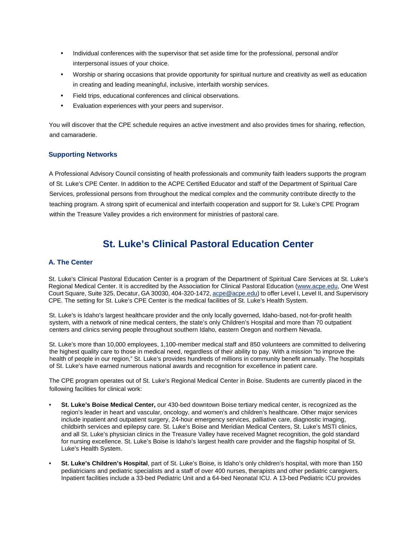- Individual conferences with the supervisor that set aside time for the professional, personal and/or interpersonal issues of your choice.
- Worship or sharing occasions that provide opportunity for spiritual nurture and creativity as well as education in creating and leading meaningful, inclusive, interfaith worship services.
- Field trips, educational conferences and clinical observations.
- Evaluation experiences with your peers and supervisor.

You will discover that the CPE schedule requires an active investment and also provides times for sharing, reflection, and camaraderie.

#### **Supporting Networks**

A Professional Advisory Council consisting of health professionals and community faith leaders supports the program of St. Luke's CPE Center. In addition to the ACPE Certified Educator and staff of the Department of Spiritual Care Services, professional persons from throughout the medical complex and the community contribute directly to the teaching program. A strong spirit of ecumenical and interfaith cooperation and support for St. Luke's CPE Program within the Treasure Valley provides a rich environment for ministries of pastoral care.

# **St. Luke's Clinical Pastoral Education Center**

#### **A. The Center**

St. Luke's Clinical Pastoral Education Center is a program of the Department of Spiritual Care Services at St. Luke's Regional Medical Center. It is accredited by the Association for Clinical Pastoral Education (www.acpe.edu, One West Court Square, Suite 325, Decatur, GA 30030, 404-320-1472, acpe@acpe.edu) to offer Level I, Level II, and Supervisory CPE. The setting for St. Luke's CPE Center is the medical facilities of St. Luke's Health System.

St. Luke's is Idaho's largest healthcare provider and the only locally governed, Idaho-based, not-for-profit health system, with a network of nine medical centers, the state's only Children's Hospital and more than 70 outpatient centers and clinics serving people throughout southern Idaho, eastern Oregon and northern Nevada.

St. Luke's more than 10,000 employees, 1,100-member medical staff and 850 volunteers are committed to delivering the highest quality care to those in medical need, regardless of their ability to pay. With a mission "to improve the health of people in our region," St. Luke's provides hundreds of millions in community benefit annually. The hospitals of St. Luke's have earned numerous national awards and recognition for excellence in patient care.

The CPE program operates out of St. Luke's Regional Medical Center in Boise. Students are currently placed in the following facilities for clinical work:

- **St. Luke's Boise Medical Center,** our 430-bed downtown Boise tertiary medical center, is recognized as the region's leader in heart and vascular, oncology, and women's and children's healthcare. Other major services include inpatient and outpatient surgery, 24-hour emergency services, palliative care, diagnostic imaging, childbirth services and epilepsy care. St. Luke's Boise and Meridian Medical Centers, St. Luke's MSTI clinics, and all St. Luke's physician clinics in the Treasure Valley have received Magnet recognition, the gold standard for nursing excellence. St. Luke's Boise is Idaho's largest health care provider and the flagship hospital of St. Luke's Health System.
- **St. Luke's Children's Hospital**, part of St. Luke's Boise, is Idaho's only children's hospital, with more than 150 pediatricians and pediatric specialists and a staff of over 400 nurses, therapists and other pediatric caregivers. Inpatient facilities include a 33-bed Pediatric Unit and a 64-bed Neonatal ICU. A 13-bed Pediatric ICU provides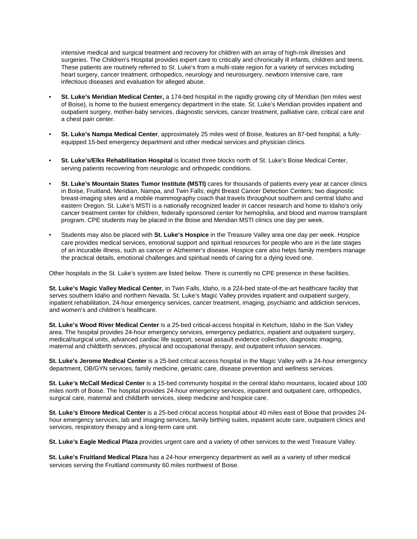intensive medical and surgical treatment and recovery for children with an array of high-risk illnesses and surgeries. The Children's Hospital provides expert care to critically and chronically ill infants, children and teens. These patients are routinely referred to St. Luke's from a multi-state region for a variety of services including heart surgery, cancer treatment, orthopedics, neurology and neurosurgery, newborn intensive care, rare infectious diseases and evaluation for alleged abuse.

- **St. Luke's Meridian Medical Center,** a 174-bed hospital in the rapidly growing city of Meridian (ten miles west of Boise), is home to the busiest emergency department in the state. St. Luke's Meridian provides inpatient and outpatient surgery, mother-baby services, diagnostic services, cancer treatment, palliative care, critical care and a chest pain center.
- **St. Luke's Nampa Medical Center**, approximately 25 miles west of Boise, features an 87-bed hospital, a fullyequipped 15-bed emergency department and other medical services and physician clinics.
- **St. Luke's/Elks Rehabilitation Hospital** is located three blocks north of St. Luke's Boise Medical Center, serving patients recovering from neurologic and orthopedic conditions.
- **St. Luke's Mountain States Tumor Institute (MSTI)** cares for thousands of patients every year at cancer clinics in Boise, Fruitland, Meridian, Nampa, and Twin Falls; eight Breast Cancer Detection Centers; two diagnostic breast-imaging sites and a mobile mammography coach that travels throughout southern and central Idaho and eastern Oregon. St. Luke's MSTI is a nationally recognized leader in cancer research and home to Idaho's only cancer treatment center for children, federally sponsored center for hemophilia, and blood and marrow transplant program. CPE students may be placed in the Boise and Meridian MSTI clinics one day per week.
- Students may also be placed with **St. Luke's Hospice** in the Treasure Valley area one day per week. Hospice care provides medical services, emotional support and spiritual resources for people who are in the late stages of an incurable illness, such as cancer or Alzheimer's disease. Hospice care also helps family members manage the practical details, emotional challenges and spiritual needs of caring for a dying loved one.

Other hospitals in the St. Luke's system are listed below. There is currently no CPE presence in these facilities.

**St. Luke's Magic Valley Medical Center**, in Twin Falls, Idaho, is a 224-bed state-of-the-art healthcare facility that serves southern Idaho and northern Nevada. St. Luke's Magic Valley provides inpatient and outpatient surgery, inpatient rehabilitation, 24-hour emergency services, cancer treatment, imaging, psychiatric and addiction services, and women's and children's healthcare.

**St. Luke's Wood River Medical Center** is a 25-bed critical-access hospital in Ketchum, Idaho in the Sun Valley area. The hospital provides 24-hour emergency services, emergency pediatrics, inpatient and outpatient surgery, medical/surgical units, advanced cardiac life support, sexual assault evidence collection, diagnostic imaging, maternal and childbirth services, physical and occupational therapy, and outpatient infusion services.

**St. Luke's Jerome Medical Center** is a 25-bed critical access hospital in the Magic Valley with a 24-hour emergency department, OB/GYN services, family medicine, geriatric care, disease prevention and wellness services.

**St. Luke's McCall Medical Center** is a 15-bed community hospital in the central Idaho mountains, located about 100 miles north of Boise. The hospital provides 24-hour emergency services, inpatient and outpatient care, orthopedics, surgical care, maternal and childbirth services, sleep medicine and hospice care.

**St. Luke's Elmore Medical Center** is a 25-bed critical access hospital about 40 miles east of Boise that provides 24 hour emergency services, lab and imaging services, family birthing suites, inpatient acute care, outpatient clinics and services, respiratory therapy and a long-term care unit.

**St. Luke's Eagle Medical Plaza** provides urgent care and a variety of other services to the west Treasure Valley.

**St. Luke's Fruitland Medical Plaza** has a 24-hour emergency department as well as a variety of other medical services serving the Fruitland community 60 miles northwest of Boise.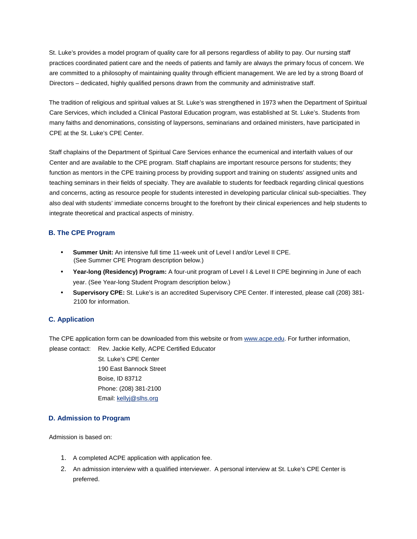St. Luke's provides a model program of quality care for all persons regardless of ability to pay. Our nursing staff practices coordinated patient care and the needs of patients and family are always the primary focus of concern. We are committed to a philosophy of maintaining quality through efficient management. We are led by a strong Board of Directors – dedicated, highly qualified persons drawn from the community and administrative staff.

The tradition of religious and spiritual values at St. Luke's was strengthened in 1973 when the Department of Spiritual Care Services, which included a Clinical Pastoral Education program, was established at St. Luke's. Students from many faiths and denominations, consisting of laypersons, seminarians and ordained ministers, have participated in CPE at the St. Luke's CPE Center.

Staff chaplains of the Department of Spiritual Care Services enhance the ecumenical and interfaith values of our Center and are available to the CPE program. Staff chaplains are important resource persons for students; they function as mentors in the CPE training process by providing support and training on students' assigned units and teaching seminars in their fields of specialty. They are available to students for feedback regarding clinical questions and concerns, acting as resource people for students interested in developing particular clinical sub-specialties. They also deal with students' immediate concerns brought to the forefront by their clinical experiences and help students to integrate theoretical and practical aspects of ministry.

# **B. The CPE Program**

- **Summer Unit:** An intensive full time 11-week unit of Level I and/or Level II CPE. (See Summer CPE Program description below.)
- **Year-long (Residency) Program:** A four-unit program of Level I & Level II CPE beginning in June of each year. (See Year-long Student Program description below.)
- **Supervisory CPE:** St. Luke's is an accredited Supervisory CPE Center. If interested, please call (208) 381- 2100 for information.

# **C. Application**

The CPE application form can be downloaded from this website or from www.acpe.edu. For further information, please contact: Rev. Jackie Kelly, ACPE Certified Educator

> St. Luke's CPE Center 190 East Bannock Street Boise, ID 83712 Phone: (208) 381-2100 Email: kellyj@slhs.org

#### **D. Admission to Program**

Admission is based on:

- 1. A completed ACPE application with application fee.
- 2. An admission interview with a qualified interviewer. A personal interview at St. Luke's CPE Center is preferred.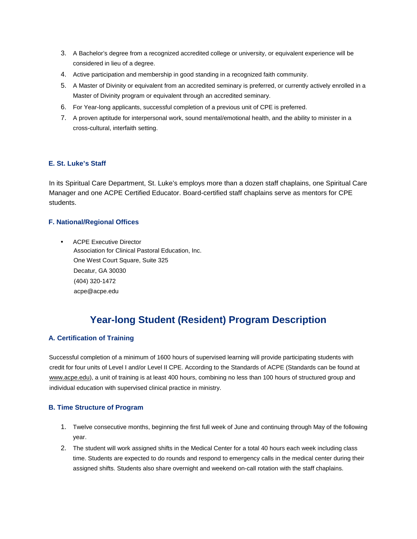- 3. A Bachelor's degree from a recognized accredited college or university, or equivalent experience will be considered in lieu of a degree.
- 4. Active participation and membership in good standing in a recognized faith community.
- 5. A Master of Divinity or equivalent from an accredited seminary is preferred, or currently actively enrolled in a Master of Divinity program or equivalent through an accredited seminary.
- 6. For Year-long applicants, successful completion of a previous unit of CPE is preferred.
- 7. A proven aptitude for interpersonal work, sound mental/emotional health, and the ability to minister in a cross-cultural, interfaith setting.

## **E. St. Luke's Staff**

In its Spiritual Care Department, St. Luke's employs more than a dozen staff chaplains, one Spiritual Care Manager and one ACPE Certified Educator. Board-certified staff chaplains serve as mentors for CPE students.

## **F. National/Regional Offices**

• ACPE Executive Director Association for Clinical Pastoral Education, Inc. One West Court Square, Suite 325 Decatur, GA 30030 (404) 320-1472 acpe@acpe.edu

# **Year-long Student (Resident) Program Description**

#### **A. Certification of Training**

Successful completion of a minimum of 1600 hours of supervised learning will provide participating students with credit for four units of Level I and/or Level II CPE. According to the Standards of ACPE (Standards can be found at www.acpe.edu), a unit of training is at least 400 hours, combining no less than 100 hours of structured group and individual education with supervised clinical practice in ministry.

#### **B. Time Structure of Program**

- 1. Twelve consecutive months, beginning the first full week of June and continuing through May of the following year.
- 2. The student will work assigned shifts in the Medical Center for a total 40 hours each week including class time. Students are expected to do rounds and respond to emergency calls in the medical center during their assigned shifts. Students also share overnight and weekend on-call rotation with the staff chaplains.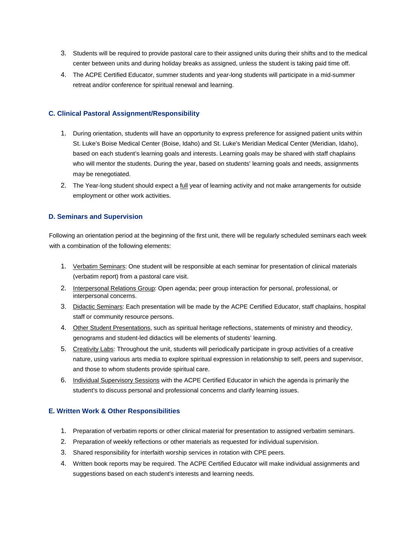- 3. Students will be required to provide pastoral care to their assigned units during their shifts and to the medical center between units and during holiday breaks as assigned, unless the student is taking paid time off.
- 4. The ACPE Certified Educator, summer students and year-long students will participate in a mid-summer retreat and/or conference for spiritual renewal and learning.

#### **C. Clinical Pastoral Assignment/Responsibility**

- 1. During orientation, students will have an opportunity to express preference for assigned patient units within St. Luke's Boise Medical Center (Boise, Idaho) and St. Luke's Meridian Medical Center (Meridian, Idaho), based on each student's learning goals and interests. Learning goals may be shared with staff chaplains who will mentor the students. During the year, based on students' learning goals and needs, assignments may be renegotiated.
- 2. The Year-long student should expect a *full* year of learning activity and not make arrangements for outside employment or other work activities.

#### **D. Seminars and Supervision**

Following an orientation period at the beginning of the first unit, there will be regularly scheduled seminars each week with a combination of the following elements:

- 1. Verbatim Seminars: One student will be responsible at each seminar for presentation of clinical materials (verbatim report) from a pastoral care visit.
- 2. Interpersonal Relations Group: Open agenda; peer group interaction for personal, professional, or interpersonal concerns.
- 3. Didactic Seminars: Each presentation will be made by the ACPE Certified Educator, staff chaplains, hospital staff or community resource persons.
- 4. Other Student Presentations, such as spiritual heritage reflections, statements of ministry and theodicy, genograms and student-led didactics will be elements of students' learning.
- 5. Creativity Labs: Throughout the unit, students will periodically participate in group activities of a creative nature, using various arts media to explore spiritual expression in relationship to self, peers and supervisor, and those to whom students provide spiritual care.
- 6. Individual Supervisory Sessions with the ACPE Certified Educator in which the agenda is primarily the student's to discuss personal and professional concerns and clarify learning issues.

#### **E. Written Work & Other Responsibilities**

- 1. Preparation of verbatim reports or other clinical material for presentation to assigned verbatim seminars.
- 2. Preparation of weekly reflections or other materials as requested for individual supervision.
- 3. Shared responsibility for interfaith worship services in rotation with CPE peers.
- 4. Written book reports may be required. The ACPE Certified Educator will make individual assignments and suggestions based on each student's interests and learning needs.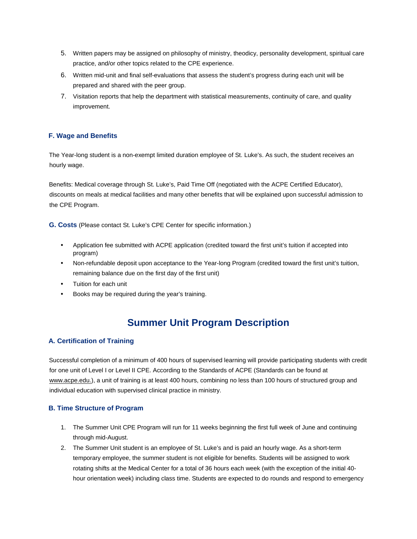- 5. Written papers may be assigned on philosophy of ministry, theodicy, personality development, spiritual care practice, and/or other topics related to the CPE experience.
- 6. Written mid-unit and final self-evaluations that assess the student's progress during each unit will be prepared and shared with the peer group.
- 7. Visitation reports that help the department with statistical measurements, continuity of care, and quality improvement.

## **F. Wage and Benefits**

The Year-long student is a non-exempt limited duration employee of St. Luke's. As such, the student receives an hourly wage.

Benefits: Medical coverage through St. Luke's, Paid Time Off (negotiated with the ACPE Certified Educator), discounts on meals at medical facilities and many other benefits that will be explained upon successful admission to the CPE Program.

**G. Costs** (Please contact St. Luke's CPE Center for specific information.)

- Application fee submitted with ACPE application (credited toward the first unit's tuition if accepted into program)
- Non-refundable deposit upon acceptance to the Year-long Program (credited toward the first unit's tuition, remaining balance due on the first day of the first unit)
- Tuition for each unit
- Books may be required during the year's training.

# **Summer Unit Program Description**

#### **A. Certification of Training**

Successful completion of a minimum of 400 hours of supervised learning will provide participating students with credit for one unit of Level I or Level II CPE. According to the Standards of ACPE (Standards can be found at www.acpe.edu.), a unit of training is at least 400 hours, combining no less than 100 hours of structured group and individual education with supervised clinical practice in ministry.

#### **B. Time Structure of Program**

- 1. The Summer Unit CPE Program will run for 11 weeks beginning the first full week of June and continuing through mid-August.
- 2. The Summer Unit student is an employee of St. Luke's and is paid an hourly wage. As a short-term temporary employee, the summer student is not eligible for benefits. Students will be assigned to work rotating shifts at the Medical Center for a total of 36 hours each week (with the exception of the initial 40 hour orientation week) including class time. Students are expected to do rounds and respond to emergency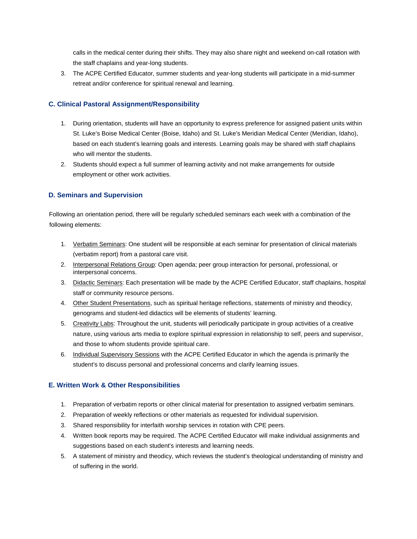calls in the medical center during their shifts. They may also share night and weekend on-call rotation with the staff chaplains and year-long students.

3. The ACPE Certified Educator, summer students and year-long students will participate in a mid-summer retreat and/or conference for spiritual renewal and learning.

## **C. Clinical Pastoral Assignment/Responsibility**

- 1. During orientation, students will have an opportunity to express preference for assigned patient units within St. Luke's Boise Medical Center (Boise, Idaho) and St. Luke's Meridian Medical Center (Meridian, Idaho), based on each student's learning goals and interests. Learning goals may be shared with staff chaplains who will mentor the students.
- 2. Students should expect a full summer of learning activity and not make arrangements for outside employment or other work activities.

## **D. Seminars and Supervision**

Following an orientation period, there will be regularly scheduled seminars each week with a combination of the following elements:

- 1. Verbatim Seminars: One student will be responsible at each seminar for presentation of clinical materials (verbatim report) from a pastoral care visit.
- 2. Interpersonal Relations Group: Open agenda; peer group interaction for personal, professional, or interpersonal concerns.
- 3. Didactic Seminars: Each presentation will be made by the ACPE Certified Educator, staff chaplains, hospital staff or community resource persons.
- 4. Other Student Presentations, such as spiritual heritage reflections, statements of ministry and theodicy, genograms and student-led didactics will be elements of students' learning.
- 5. Creativity Labs: Throughout the unit, students will periodically participate in group activities of a creative nature, using various arts media to explore spiritual expression in relationship to self, peers and supervisor, and those to whom students provide spiritual care.
- 6. Individual Supervisory Sessions with the ACPE Certified Educator in which the agenda is primarily the student's to discuss personal and professional concerns and clarify learning issues.

#### **E. Written Work & Other Responsibilities**

- 1. Preparation of verbatim reports or other clinical material for presentation to assigned verbatim seminars.
- 2. Preparation of weekly reflections or other materials as requested for individual supervision.
- 3. Shared responsibility for interfaith worship services in rotation with CPE peers.
- 4. Written book reports may be required. The ACPE Certified Educator will make individual assignments and suggestions based on each student's interests and learning needs.
- 5. A statement of ministry and theodicy, which reviews the student's theological understanding of ministry and of suffering in the world.